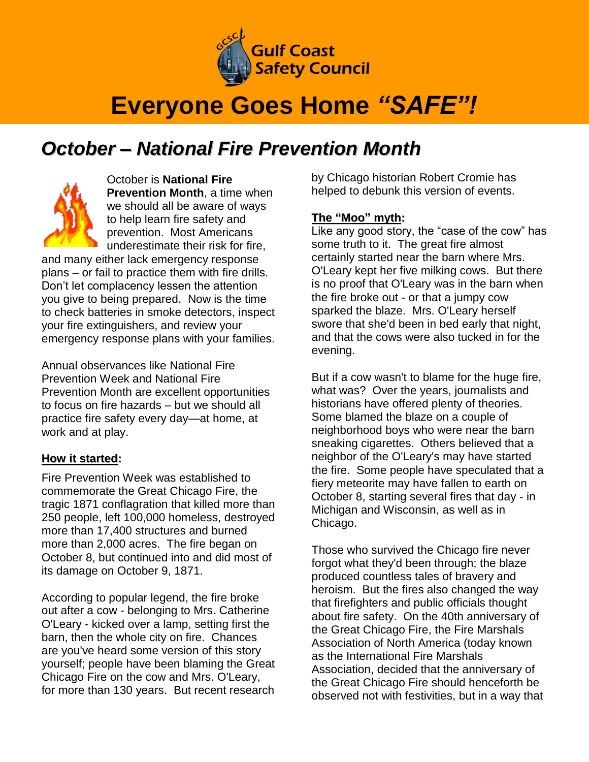

# **Everyone Goes Home** *"SAFE"!*

# *October – National Fire Prevention Month*



October is **National Fire Prevention Month**, a time when we should all be aware of ways to help learn fire safety and prevention. Most Americans underestimate their risk for fire,

and many either lack emergency response plans – or fail to practice them with fire drills. Don't let complacency lessen the attention you give to being prepared. Now is the time to check batteries in smoke detectors, inspect your fire extinguishers, and review your emergency response plans with your families.

Annual observances like National Fire Prevention Week and National Fire Prevention Month are excellent opportunities to focus on fire hazards – but we should all practice fire safety every day—at home, at work and at play.

#### **How it started:**

Fire Prevention Week was established to commemorate the Great Chicago Fire, the tragic 1871 conflagration that killed more than 250 people, left 100,000 homeless, destroyed more than 17,400 structures and burned more than 2,000 acres. The fire began on October 8, but continued into and did most of its damage on October 9, 1871.

According to popular legend, the fire broke out after a cow - belonging to Mrs. Catherine O'Leary - kicked over a lamp, setting first the barn, then the whole city on fire. Chances are you've heard some version of this story yourself; people have been blaming the Great Chicago Fire on the cow and Mrs. O'Leary, for more than 130 years. But recent research by Chicago historian Robert Cromie has helped to debunk this version of events.

#### **The "Moo" myth:**

Like any good story, the "case of the cow" has some truth to it. The great fire almost certainly started near the barn where Mrs. O'Leary kept her five milking cows. But there is no proof that O'Leary was in the barn when the fire broke out - or that a jumpy cow sparked the blaze. Mrs. O'Leary herself swore that she'd been in bed early that night, and that the cows were also tucked in for the evening.

But if a cow wasn't to blame for the huge fire, what was? Over the years, journalists and historians have offered plenty of theories. Some blamed the blaze on a couple of neighborhood boys who were near the barn sneaking cigarettes. Others believed that a neighbor of the O'Leary's may have started the fire. Some people have speculated that a fiery meteorite may have fallen to earth on October 8, starting several fires that day - in Michigan and Wisconsin, as well as in Chicago.

Those who survived the Chicago fire never forgot what they'd been through; the blaze produced countless tales of bravery and heroism. But the fires also changed the way that firefighters and public officials thought about fire safety. On the 40th anniversary of the Great Chicago Fire, the Fire Marshals Association of North America (today known as the International Fire Marshals Association, decided that the anniversary of the Great Chicago Fire should henceforth be observed not with festivities, but in a way that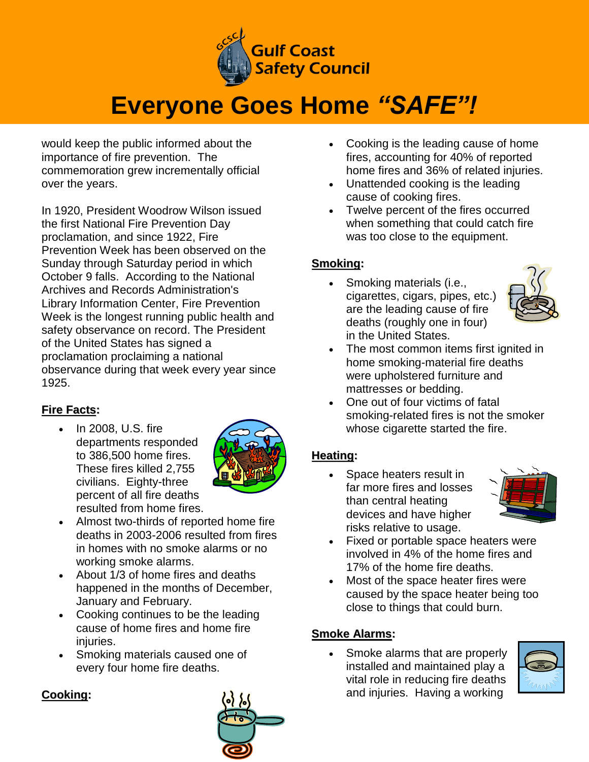

# **Everyone Goes Home** *"SAFE"!*

would keep the public informed about the importance of fire prevention. The commemoration grew incrementally official over the years.

In 1920, President Woodrow Wilson issued the first National Fire Prevention Day proclamation, and since 1922, Fire Prevention Week has been observed on the Sunday through Saturday period in which October 9 falls. According to the National Archives and Records Administration's Library Information Center, Fire Prevention Week is the longest running public health and safety observance on record. The President of the United States has signed a proclamation proclaiming a national observance during that week every year since 1925.

# **Fire Facts:**

 In 2008, U.S. fire departments responded to 386,500 home fires. These fires killed 2,755 civilians. Eighty-three percent of all fire deaths resulted from home fires.



- Almost two-thirds of reported home fire deaths in 2003-2006 resulted from fires in homes with no smoke alarms or no working smoke alarms.
- About 1/3 of home fires and deaths happened in the months of December, January and February.
- Cooking continues to be the leading cause of home fires and home fire iniuries.
- Smoking materials caused one of every four home fire deaths.

#### **Cooking:**



- Cooking is the leading cause of home fires, accounting for 40% of reported home fires and 36% of related injuries.
- Unattended cooking is the leading cause of cooking fires.
- Twelve percent of the fires occurred when something that could catch fire was too close to the equipment.

## **Smoking:**

• Smoking materials (i.e., cigarettes, cigars, pipes, etc.) are the leading cause of fire deaths (roughly one in four) in the United States.



- The most common items first ignited in home smoking-material fire deaths were upholstered furniture and mattresses or bedding.
- One out of four victims of fatal smoking-related fires is not the smoker whose cigarette started the fire.

## **Heating:**

 Space heaters result in far more fires and losses than central heating devices and have higher risks relative to usage.



- Fixed or portable space heaters were involved in 4% of the home fires and 17% of the home fire deaths.
- Most of the space heater fires were caused by the space heater being too close to things that could burn.

## **Smoke Alarms:**

 Smoke alarms that are properly installed and maintained play a vital role in reducing fire deaths and injuries. Having a working